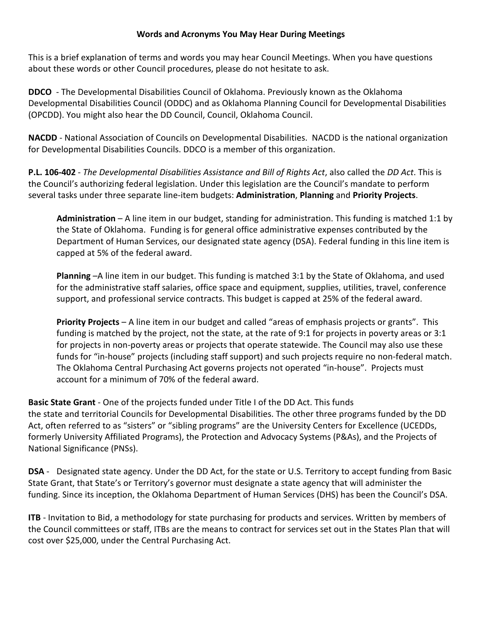## **Words and Acronyms You May Hear During Meetings**

This is a brief explanation of terms and words you may hear Council Meetings. When you have questions about these words or other Council procedures, please do not hesitate to ask.

**DDCO** - The Developmental Disabilities Council of Oklahoma. Previously known as the Oklahoma Developmental Disabilities Council (ODDC) and as Oklahoma Planning Council for Developmental Disabilities (OPCDD). You might also hear the DD Council, Council, Oklahoma Council.

**NACDD** - National Association of Councils on Developmental Disabilities. NACDD is the national organization for Developmental Disabilities Councils. DDCO is a member of this organization.

**P.L. 106-402** - *The Developmental Disabilities Assistance and Bill of Rights Act*, also called the *DD Act*. This is the Council's authorizing federal legislation. Under this legislation are the Council's mandate to perform several tasks under three separate line-item budgets: **Administration**, **Planning** and **Priority Projects**.

**Administration** – A line item in our budget, standing for administration. This funding is matched 1:1 by the State of Oklahoma. Funding is for general office administrative expenses contributed by the Department of Human Services, our designated state agency (DSA). Federal funding in this line item is capped at 5% of the federal award.

**Planning** –A line item in our budget. This funding is matched 3:1 by the State of Oklahoma, and used for the administrative staff salaries, office space and equipment, supplies, utilities, travel, conference support, and professional service contracts. This budget is capped at 25% of the federal award.

**Priority Projects** – A line item in our budget and called "areas of emphasis projects or grants". This funding is matched by the project, not the state, at the rate of 9:1 for projects in poverty areas or 3:1 for projects in non-poverty areas or projects that operate statewide. The Council may also use these funds for "in-house" projects (including staff support) and such projects require no non-federal match. The Oklahoma Central Purchasing Act governs projects not operated "in-house". Projects must account for a minimum of 70% of the federal award.

**Basic State Grant** - One of the projects funded under Title I of the DD Act. This funds the state and territorial Councils for Developmental Disabilities. The other three programs funded by the DD Act, often referred to as "sisters" or "sibling programs" are the University Centers for Excellence (UCEDDs, formerly University Affiliated Programs), the Protection and Advocacy Systems (P&As), and the Projects of National Significance (PNSs).

**DSA** - Designated state agency. Under the DD Act, for the state or U.S. Territory to accept funding from Basic State Grant, that State's or Territory's governor must designate a state agency that will administer the funding. Since its inception, the Oklahoma Department of Human Services (DHS) has been the Council's DSA.

**ITB** - Invitation to Bid, a methodology for state purchasing for products and services. Written by members of the Council committees or staff, ITBs are the means to contract for services set out in the States Plan that will cost over \$25,000, under the Central Purchasing Act.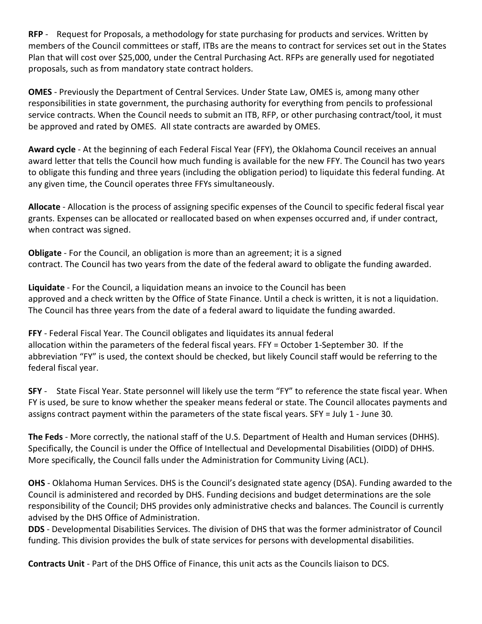**RFP** - Request for Proposals, a methodology for state purchasing for products and services. Written by members of the Council committees or staff, ITBs are the means to contract for services set out in the States Plan that will cost over \$25,000, under the Central Purchasing Act. RFPs are generally used for negotiated proposals, such as from mandatory state contract holders.

**OMES** - Previously the Department of Central Services. Under State Law, OMES is, among many other responsibilities in state government, the purchasing authority for everything from pencils to professional service contracts. When the Council needs to submit an ITB, RFP, or other purchasing contract/tool, it must be approved and rated by OMES. All state contracts are awarded by OMES.

**Award cycle** - At the beginning of each Federal Fiscal Year (FFY), the Oklahoma Council receives an annual award letter that tells the Council how much funding is available for the new FFY. The Council has two years to obligate this funding and three years (including the obligation period) to liquidate this federal funding. At any given time, the Council operates three FFYs simultaneously.

**Allocate** - Allocation is the process of assigning specific expenses of the Council to specific federal fiscal year grants. Expenses can be allocated or reallocated based on when expenses occurred and, if under contract, when contract was signed.

**Obligate** - For the Council, an obligation is more than an agreement; it is a signed contract. The Council has two years from the date of the federal award to obligate the funding awarded.

**Liquidate** - For the Council, a liquidation means an invoice to the Council has been approved and a check written by the Office of State Finance. Until a check is written, it is not a liquidation. The Council has three years from the date of a federal award to liquidate the funding awarded.

**FFY** - Federal Fiscal Year. The Council obligates and liquidates its annual federal allocation within the parameters of the federal fiscal years. FFY = October 1-September 30. If the abbreviation "FY" is used, the context should be checked, but likely Council staff would be referring to the federal fiscal year.

**SFY** - State Fiscal Year. State personnel will likely use the term "FY" to reference the state fiscal year. When FY is used, be sure to know whether the speaker means federal or state. The Council allocates payments and assigns contract payment within the parameters of the state fiscal years. SFY = July 1 - June 30.

**The Feds** - More correctly, the national staff of the U.S. Department of Health and Human services (DHHS). Specifically, the Council is under the Office of Intellectual and Developmental Disabilities (OIDD) of DHHS. More specifically, the Council falls under the Administration for Community Living (ACL).

**OHS** - Oklahoma Human Services. DHS is the Council's designated state agency (DSA). Funding awarded to the Council is administered and recorded by DHS. Funding decisions and budget determinations are the sole responsibility of the Council; DHS provides only administrative checks and balances. The Council is currently advised by the DHS Office of Administration.

**DDS** - Developmental Disabilities Services. The division of DHS that was the former administrator of Council funding. This division provides the bulk of state services for persons with developmental disabilities.

**Contracts Unit** - Part of the DHS Office of Finance, this unit acts as the Councils liaison to DCS.